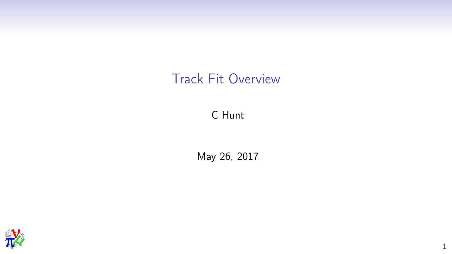## Track Fit Overview

#### C Hunt

#### May 26, 2017

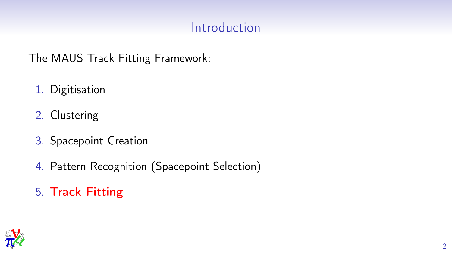## Introduction

The MAUS Track Fitting Framework:

- 1. Digitisation
- 2. Clustering
- 3. Spacepoint Creation
- 4. Pattern Recognition (Spacepoint Selection)
- 5. Track Fitting

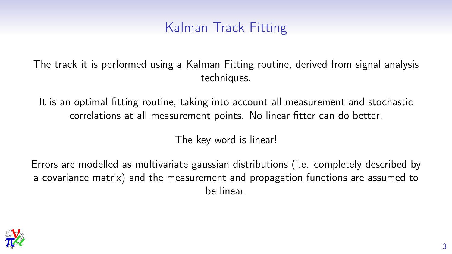## Kalman Track Fitting

The track it is performed using a Kalman Fitting routine, derived from signal analysis techniques.

It is an optimal fitting routine, taking into account all measurement and stochastic correlations at all measurement points. No linear fitter can do better.

The key word is linear!

Errors are modelled as multivariate gaussian distributions (i.e. completely described by a covariance matrix) and the measurement and propagation functions are assumed to be linear.

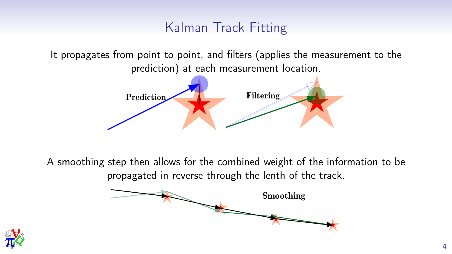## Kalman Track Fitting

It propagates from point to point, and filters (applies the measurement to the prediction) at each measurement location.



A smoothing step then allows for the combined weight of the information to be propagated in reverse through the lenth of the track.



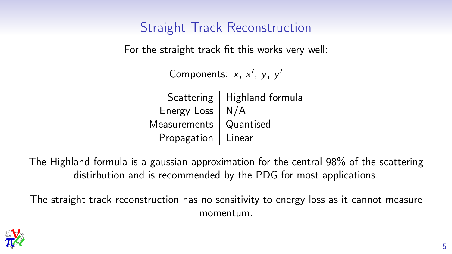Straight Track Reconstruction

For the straight track fit this works very well:

```
Components: x, x', y, y'
```
Scattering  $\vert$  Highland formula Energy Loss  $\mid N/A \rangle$ Measurements | Quantised Propagation | Linear

The Highland formula is a gaussian approximation for the central 98% of the scattering distirbution and is recommended by the PDG for most applications.

The straight track reconstruction has no sensitivity to energy loss as it cannot measure momentum.

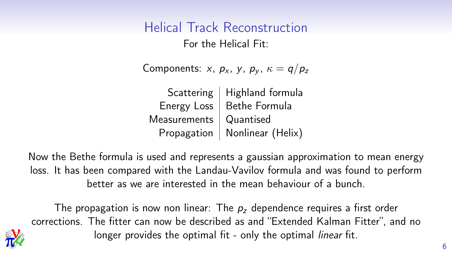## Helical Track Reconstruction

For the Helical Fit:

Components: x,  $p_x$ , y,  $p_y$ ,  $\kappa = q/p_z$ 

|                          | Scattering   Highland formula |
|--------------------------|-------------------------------|
|                          | Energy Loss   Bethe Formula   |
| Measurements   Quantised |                               |
| Propagation              | Nonlinear (Helix)             |

Now the Bethe formula is used and represents a gaussian approximation to mean energy loss. It has been compared with the Landau-Vavilov formula and was found to perform better as we are interested in the mean behaviour of a bunch.

The propagation is now non linear: The  $p<sub>z</sub>$  dependence requires a first order corrections. The fitter can now be described as and "Extended Kalman Fitter", and no longer provides the optimal fit - only the optimal *linear* fit.

*MICE*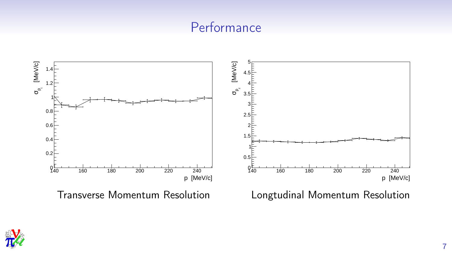### **Performance**



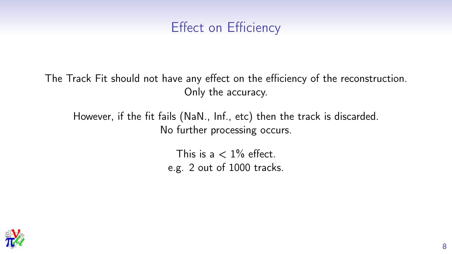## Effect on Efficiency

The Track Fit should not have any effect on the efficiency of the reconstruction. Only the accuracy.

However, if the fit fails (NaN., Inf., etc) then the track is discarded. No further processing occurs.

> This is a  $< 1\%$  effect. e.g. 2 out of 1000 tracks.